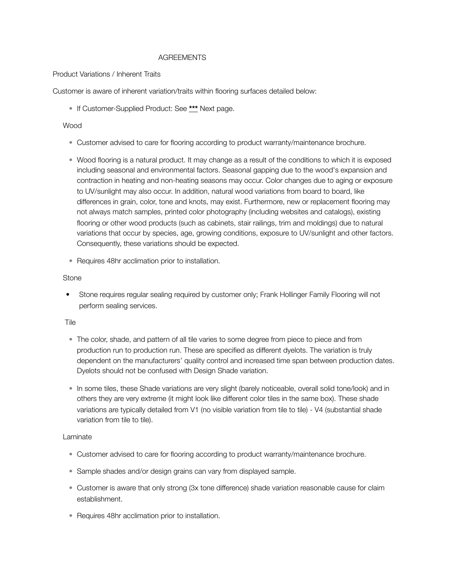# AGREEMENTS

## Product Variations / Inherent Traits

Customer is aware of inherent variation/traits within flooring surfaces detailed below:

• If Customer-Supplied Product: See **\*\*\*** Next page.

# Wood

- Customer advised to care for flooring according to product warranty/maintenance brochure.
- Wood flooring is a natural product. It may change as a result of the conditions to which it is exposed including seasonal and environmental factors. Seasonal gapping due to the wood's expansion and contraction in heating and non-heating seasons may occur. Color changes due to aging or exposure to UV/sunlight may also occur. In addition, natural wood variations from board to board, like differences in grain, color, tone and knots, may exist. Furthermore, new or replacement flooring may not always match samples, printed color photography (including websites and catalogs), existing flooring or other wood products (such as cabinets, stair railings, trim and moldings) due to natural variations that occur by species, age, growing conditions, exposure to UV/sunlight and other factors. Consequently, these variations should be expected.
- Requires 48hr acclimation prior to installation.

#### **Stone**

• Stone requires regular sealing required by customer only; Frank Hollinger Family Flooring will not perform sealing services.

#### Tile

- The color, shade, and pattern of all tile varies to some degree from piece to piece and from production run to production run. These are specified as different dyelots. The variation is truly dependent on the manufacturers' quality control and increased time span between production dates. Dyelots should not be confused with Design Shade variation.
- In some tiles, these Shade variations are very slight (barely noticeable, overall solid tone/look) and in others they are very extreme (it might look like different color tiles in the same box). These shade variations are typically detailed from V1 (no visible variation from tile to tile) - V4 (substantial shade variation from tile to tile).

#### Laminate

- Customer advised to care for flooring according to product warranty/maintenance brochure.
- Sample shades and/or design grains can vary from displayed sample.
- Customer is aware that only strong (3x tone difference) shade variation reasonable cause for claim establishment.
- Requires 48hr acclimation prior to installation.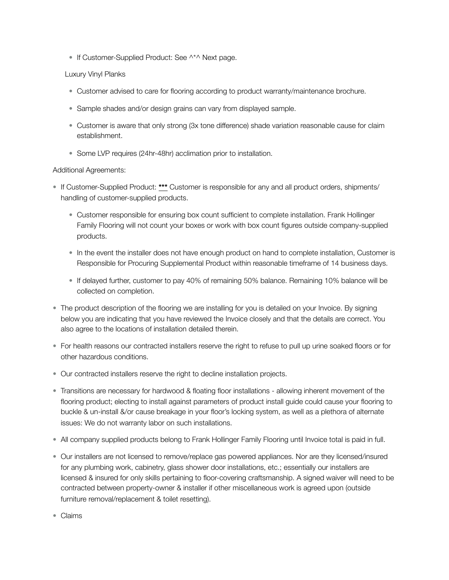• If Customer-Supplied Product: See ^\*^ Next page.

# Luxury Vinyl Planks

- Customer advised to care for flooring according to product warranty/maintenance brochure.
- Sample shades and/or design grains can vary from displayed sample.
- Customer is aware that only strong (3x tone difference) shade variation reasonable cause for claim establishment.
- Some LVP requires (24hr-48hr) acclimation prior to installation.

## Additional Agreements:

- If Customer-Supplied Product: **\*\*\*** Customer is responsible for any and all product orders, shipments/ handling of customer-supplied products.
	- Customer responsible for ensuring box count sufficient to complete installation. Frank Hollinger Family Flooring will not count your boxes or work with box count figures outside company-supplied products.
	- In the event the installer does not have enough product on hand to complete installation, Customer is Responsible for Procuring Supplemental Product within reasonable timeframe of 14 business days.
	- If delayed further, customer to pay 40% of remaining 50% balance. Remaining 10% balance will be collected on completion.
- The product description of the flooring we are installing for you is detailed on your Invoice. By signing below you are indicating that you have reviewed the Invoice closely and that the details are correct. You also agree to the locations of installation detailed therein.
- For health reasons our contracted installers reserve the right to refuse to pull up urine soaked floors or for other hazardous conditions.
- Our contracted installers reserve the right to decline installation projects.
- Transitions are necessary for hardwood & floating floor installations allowing inherent movement of the flooring product; electing to install against parameters of product install guide could cause your flooring to buckle & un-install &/or cause breakage in your floor's locking system, as well as a plethora of alternate issues: We do not warranty labor on such installations.
- All company supplied products belong to Frank Hollinger Family Flooring until Invoice total is paid in full.
- Our installers are not licensed to remove/replace gas powered appliances. Nor are they licensed/insured for any plumbing work, cabinetry, glass shower door installations, etc.; essentially our installers are licensed & insured for only skills pertaining to floor-covering craftsmanship. A signed waiver will need to be contracted between property-owner & installer if other miscellaneous work is agreed upon (outside furniture removal/replacement & toilet resetting).
- Claims